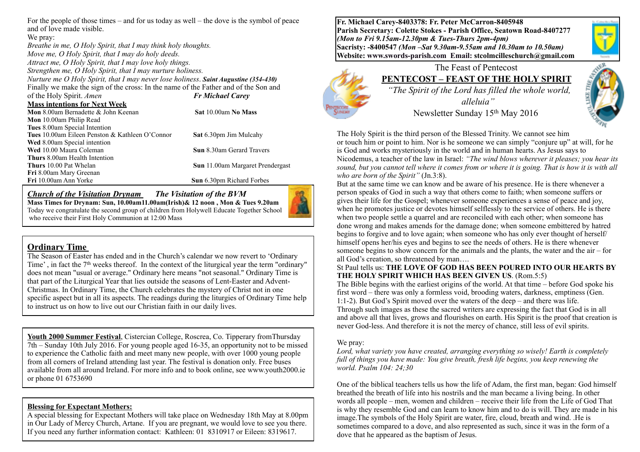For the people of those times – and for us today as well – the dove is the symbol of peace and of love made visible.

We pray: *Breathe in me, O Holy Spirit, that I may think holy thoughts. Move me, O Holy Spirit, that I may do holy deeds. Attract me, O Holy Spirit, that I may love holy things. Strengthen me, O Holy Spirit, that I may nurture holiness. Nurture me O Holy Spirit, that I may never lose holiness*. *Saint Augustine (354-430)* Finally we make the sign of the cross: In the name of the Father and of the Son and of the Holy Spirit. *Amen Fr Michael Carey*  **Mass intentions for Next Week Mon** 8.00am Bernadette & John Keenan **Sat** 10.00am **No Mass Mon** 10.00am Philip Read **Tues** 8.00am Special Intention **Tues** 10.00am Eileen Penston & Kathleen O'Connor **Sat** 6.30pm Jim Mulcahy **Wed** 8.00am Special intention **Wed** 10.00 Maura Coleman **Sun** 8.30am Gerard Travers **Thurs** 8.00am Health Intention **Thurs** 10.00 Pat Whelan **Sun** 11.00am Margaret Prendergast **Fri** 8.00am Mary Greenan **Sun** 6.30pm Richard Forbes

*Church of the Visitation Drynam**The Visitation of the BVM* **Mass Times for Drynam: Sun, 10.00am11.00am(Irish)& 12 noon , Mon & Tues 9.20am**  Today we congratulate the second group of children from Holywell Educate Together School who receive their First Holy Communion at 12:00 Mass

## **Ordinary Time**

The Season of Easter has ended and in the Church's calendar we now revert to 'Ordinary Time', in fact the  $7<sup>th</sup>$  weeks thereof. In the context of the liturgical year the term "ordinary" does not mean "usual or average." Ordinary here means "not seasonal." Ordinary Time is that part of the Liturgical Year that lies outside the seasons of Lent-Easter and Advent-Christmas. In Ordinary Time, the Church celebrates the mystery of Christ not in one specific aspect but in all its aspects. The readings during the liturgies of Ordinary Time help to instruct us on how to live out our Christian faith in our daily lives.

**Youth 2000 Summer Festival**, Cistercian College, Roscrea, Co. Tipperary fromThursday 7th – Sunday 10th July 2016. For young people aged 16-35, an opportunity not to be missed to experience the Catholic faith and meet many new people, with over 1000 young people from all corners of Ireland attending last year. The festival is donation only. Free buses available from all around Ireland. For more info and to book online, see www.youth2000.ie or phone 01 6753690

## **Blessing for Expectant Mothers:**

A special blessing for Expectant Mothers will take place on Wednesday 18th May at 8.00pm in Our Lady of Mercy Church, Artane. If you are pregnant, we would love to see you there. If you need any further information contact: Kathleen: 01 8310917 or Eileen: 8319617.

**Fr. Michael Carey-8403378: Fr. Peter McCarron-8405948 Parish Secretary: Colette Stokes - Parish Office, Seatown Road-8407277**  *(Mon to Fri 9.15am-12.30pm & Tues-Thurs 2pm-4pm)*  **Sacristy: -8400547** *(Mon –Sat 9.30am-9.55am and 10.30am to 10.50am)* **Website: [www.swords-parish.com Email:](http://www.swords-parish.com%20%20email) stcolmcilleschurch@gmail.com**





### The Feast of Pentecost **PENTECOST – FEAST OF THE HOLY SPIRIT**

 *"The Spirit of the Lord has filled the whole world, alleluia"*  Newsletter Sunday 15th May 2016



The Holy Spirit is the third person of the Blessed Trinity. We cannot see him or touch him or point to him. Nor is he someone we can simply "conjure up" at will, for he is God and works mysteriously in the world and in human hearts. As Jesus says to Nicodemus, a teacher of the law in Israel: *"The wind blows wherever it pleases; you hear its sound, but you cannot tell where it comes from or where it is going. That is how it is with all who are born of the Spirit"* (Jn.3:8).

But at the same time we can know and be aware of his presence. He is there whenever a person speaks of God in such a way that others come to faith; when someone suffers or gives their life for the Gospel; whenever someone experiences a sense of peace and joy, when he promotes justice or devotes himself selflessly to the service of others. He is there when two people settle a quarrel and are reconciled with each other; when someone has done wrong and makes amends for the damage done; when someone embittered by hatred begins to forgive and to love again; when someone who has only ever thought of herself/ himself opens her/his eyes and begins to see the needs of others. He is there whenever someone begins to show concern for the animals and the plants, the water and the air – for all God's creation, so threatened by man….

#### St Paul tells us: **THE LOVE OF GOD HAS BEEN POURED INTO OUR HEARTS BY THE HOLY SPIRIT WHICH HAS BEEN GIVEN US**. (Rom.5:5)

The Bible begins with the earliest origins of the world. At that time – before God spoke his first word – there was only a formless void, brooding waters, darkness, emptiness (Gen. 1:1-2). But God's Spirit moved over the waters of the deep – and there was life. Through such images as these the sacred writers are expressing the fact that God is in all and above all that lives, grows and flourishes on earth. His Spirit is the proof that creation is never God-less. And therefore it is not the mercy of chance, still less of evil spirits.

#### We pray:

*Lord, what variety you have created, arranging everything so wisely! Earth is completely full of things you have made: You give breath, fresh life begins, you keep renewing the world. Psalm 104: 24;30* 

One of the biblical teachers tells us how the life of Adam, the first man, began: God himself breathed the breath of life into his nostrils and the man became a living being. In other words all people – men, women and children – receive their life from the Life of God That is why they resemble God and can learn to know him and to do is will. They are made in his image.The symbols of the Holy Spirit are water, fire, cloud, breath and wind. .He is sometimes compared to a dove, and also represented as such, since it was in the form of a dove that he appeared as the baptism of Jesus.